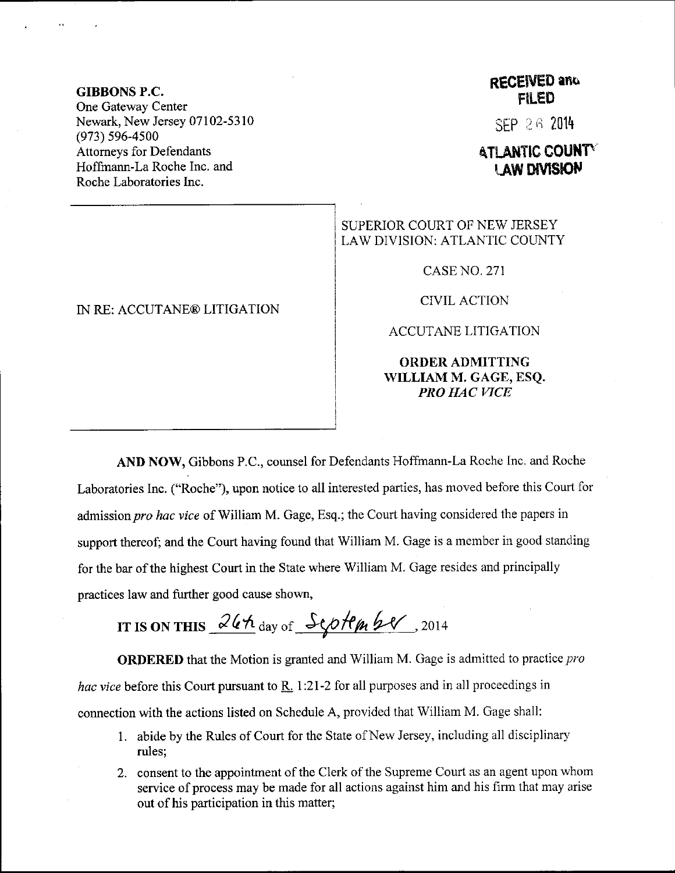GIBBONS P.C. One Gateway Center Newark, New Jersey 07102-5310 (973) s96-4s00 Attomeys for Defendants Hoffmann-La Roche Inc. and Roche Laboratories Inc.

## IN RE: ACCUTANE@ LITIGATION

## RECEIVED and FILED

stP 2 6 <sup>2014</sup>

## ATLANTIC COUNTY **LAW DIVISION**

## SUPERIOR COURT OF NEW JERSEY LAW DIVISION: ATLANTIC COUNTY

CASE NO. 271

CIVIL ACTION

ACCUTANE LITIGATION

ORDERADMITTING WILLIAM M. GAGE, ESQ. PRO HAC VICE

AND NOW, Gibbons P.C., counsel for Defendants Hoffmann-La Roche Inc. and Roche Laboratories Inc. ("Roche"), upon notice to all interested parties, has moved before this Court for admission pro hac vice of William M. Gage, Esq.; the Court having considered the papers in support thereof; and the Court having found that William M. Gage is a member in good standing for the bar of the highest Court in the State where William M. Gage resides and principally practices law and further good cause shown,

IT IS ON THIS  $26h$  day of  $SophmbC$ , 2014

**ORDERED** that the Motion is granted and William M. Gage is admitted to practice  $pro$ hac vice before this Court pursuant to  $\underline{R}$ . 1:21-2 for all purposes and in all proceedings in connection with the actions listed on Schedule A, provided that William M. Gage shall:

- <sup>1</sup>. abide by the Rules of Court for the State of New Jersey, including all disciplinary' rules;
- 2. consent to the appointment of the Clerk of the Supreme Court as an agent upon whom service of process may be made for all actions against him and his firm that may arise out of his participation in this matter;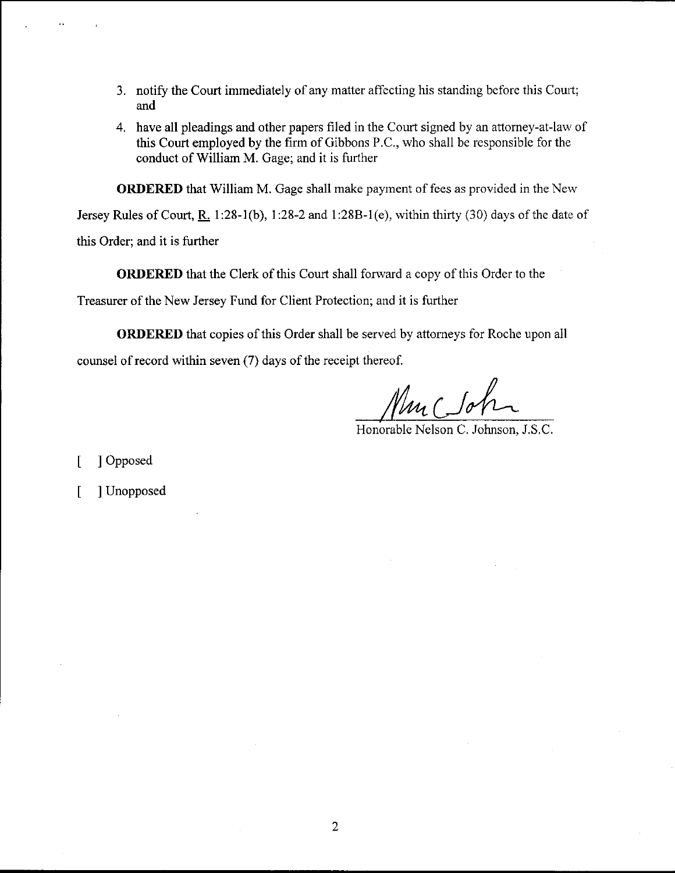- 3. notify the Court immediately of any matter affecting his standing before this Court; and
- 4. have all pleadings and other papers filed in the Court signed by an attorney-at-law of this Court employed by the firm of Gibbons P.C., who shall be responsible for the conduct of William M. Gage; and it is further

**ORDERED** that William M. Gage shall make payment of fees as provided in the New

Jersey Rules of Court, R. 1:28-1(b), 1:28-2 and 1:28B-1(e), within thirty (30) days of the date of this Order; and it is funher

ORDERED that the Clerk of this Court shall forrvard a copy of this Order to the

Treasurer of the New Jersey Fund for Client Protection; and it is further

ORDERED that copies of this Order shall be served by attorneys for Roche upon all counsel of record within seven (7) days of the receipt thereof.

Mur Coh

[ ] Opposed

[ ] Unopposed